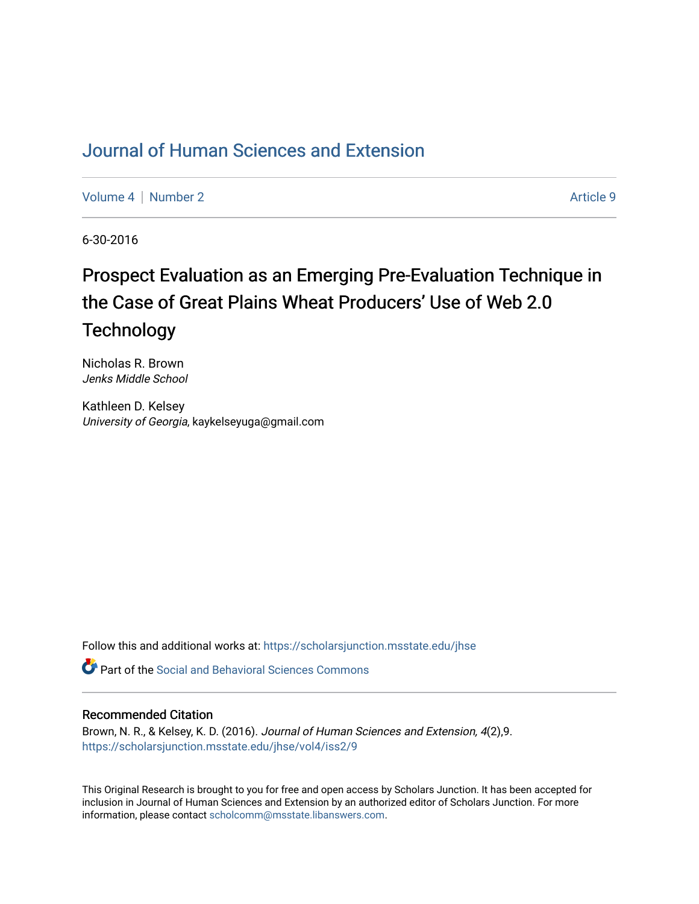## [Journal of Human Sciences and Extension](https://scholarsjunction.msstate.edu/jhse)

[Volume 4](https://scholarsjunction.msstate.edu/jhse/vol4) | [Number 2](https://scholarsjunction.msstate.edu/jhse/vol4/iss2) Article 9

6-30-2016

# Prospect Evaluation as an Emerging Pre-Evaluation Technique in the Case of Great Plains Wheat Producers' Use of Web 2.0 **Technology**

Nicholas R. Brown Jenks Middle School

Kathleen D. Kelsey University of Georgia, kaykelseyuga@gmail.com

Follow this and additional works at: [https://scholarsjunction.msstate.edu/jhse](https://scholarsjunction.msstate.edu/jhse?utm_source=scholarsjunction.msstate.edu%2Fjhse%2Fvol4%2Fiss2%2F9&utm_medium=PDF&utm_campaign=PDFCoverPages)

Part of the [Social and Behavioral Sciences Commons](http://network.bepress.com/hgg/discipline/316?utm_source=scholarsjunction.msstate.edu%2Fjhse%2Fvol4%2Fiss2%2F9&utm_medium=PDF&utm_campaign=PDFCoverPages) 

#### Recommended Citation

Brown, N. R., & Kelsey, K. D. (2016). Journal of Human Sciences and Extension, 4(2),9. [https://scholarsjunction.msstate.edu/jhse/vol4/iss2/9](https://scholarsjunction.msstate.edu/jhse/vol4/iss2/9?utm_source=scholarsjunction.msstate.edu%2Fjhse%2Fvol4%2Fiss2%2F9&utm_medium=PDF&utm_campaign=PDFCoverPages)

This Original Research is brought to you for free and open access by Scholars Junction. It has been accepted for inclusion in Journal of Human Sciences and Extension by an authorized editor of Scholars Junction. For more information, please contact [scholcomm@msstate.libanswers.com](mailto:scholcomm@msstate.libanswers.com).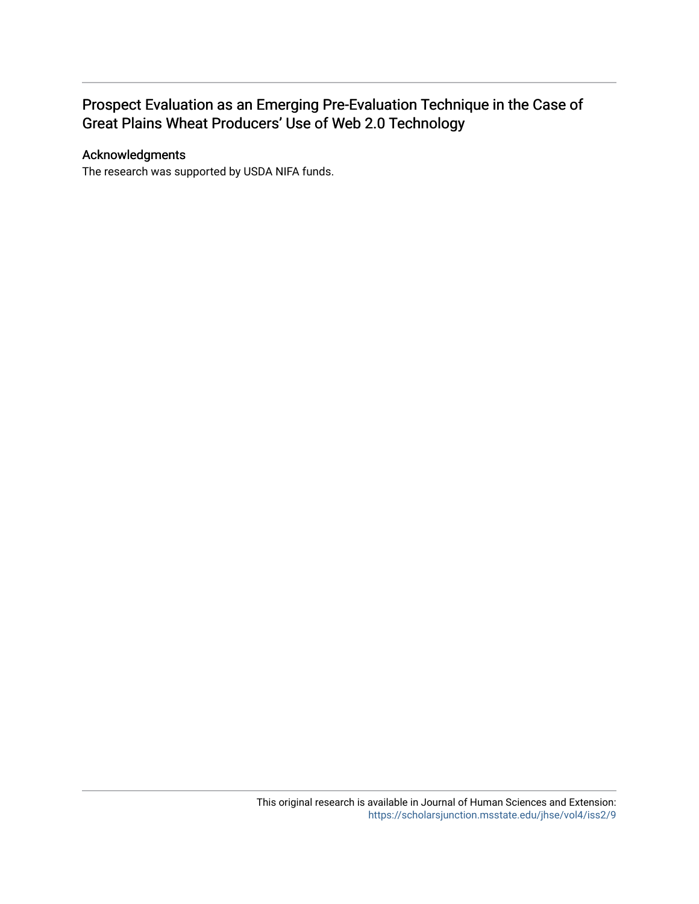## Prospect Evaluation as an Emerging Pre-Evaluation Technique in the Case of Great Plains Wheat Producers' Use of Web 2.0 Technology

## Acknowledgments

The research was supported by USDA NIFA funds.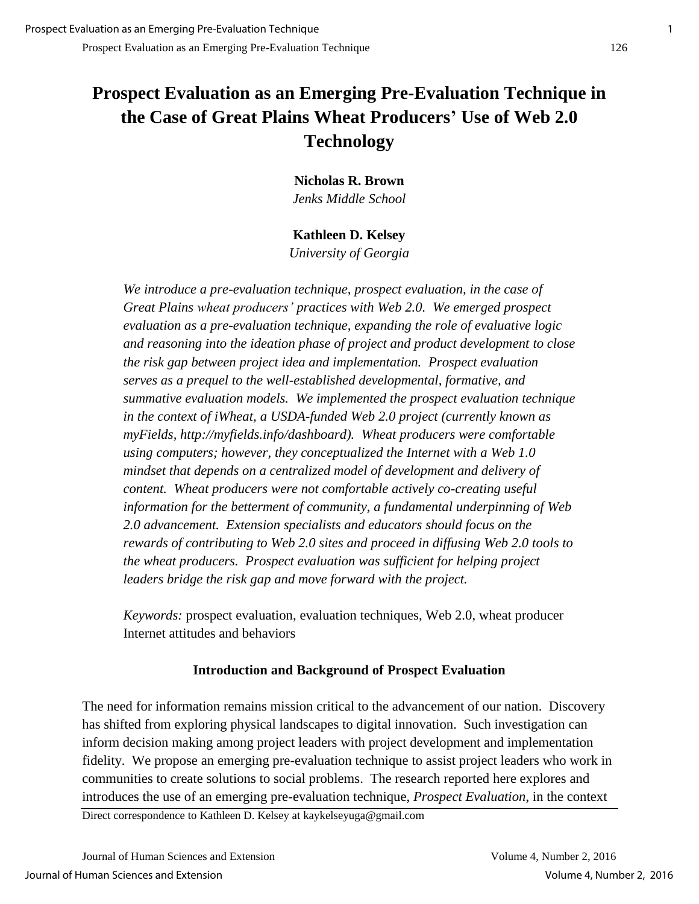## **Prospect Evaluation as an Emerging Pre-Evaluation Technique in the Case of Great Plains Wheat Producers' Use of Web 2.0 Technology**

**Nicholas R. Brown**  *Jenks Middle School* 

## **Kathleen D. Kelsey**

*University of Georgia* 

*We introduce a pre-evaluation technique, prospect evaluation, in the case of Great Plains wheat producers' practices with Web 2.0. We emerged prospect evaluation as a pre-evaluation technique, expanding the role of evaluative logic and reasoning into the ideation phase of project and product development to close the risk gap between project idea and implementation. Prospect evaluation serves as a prequel to the well-established developmental, formative, and summative evaluation models. We implemented the prospect evaluation technique in the context of iWheat, a USDA-funded Web 2.0 project (currently known as myFields, http://myfields.info/dashboard). Wheat producers were comfortable using computers; however, they conceptualized the Internet with a Web 1.0 mindset that depends on a centralized model of development and delivery of content. Wheat producers were not comfortable actively co-creating useful information for the betterment of community, a fundamental underpinning of Web 2.0 advancement. Extension specialists and educators should focus on the rewards of contributing to Web 2.0 sites and proceed in diffusing Web 2.0 tools to the wheat producers. Prospect evaluation was sufficient for helping project leaders bridge the risk gap and move forward with the project.* 

*Keywords:* prospect evaluation, evaluation techniques, Web 2.0, wheat producer Internet attitudes and behaviors

## **Introduction and Background of Prospect Evaluation**

The need for information remains mission critical to the advancement of our nation. Discovery has shifted from exploring physical landscapes to digital innovation. Such investigation can inform decision making among project leaders with project development and implementation fidelity. We propose an emerging pre-evaluation technique to assist project leaders who work in communities to create solutions to social problems. The research reported here explores and introduces the use of an emerging pre-evaluation technique, *Prospect Evaluation*, in the context

Direct correspondence to Kathleen D. Kelsey at kaykelseyuga@gmail.com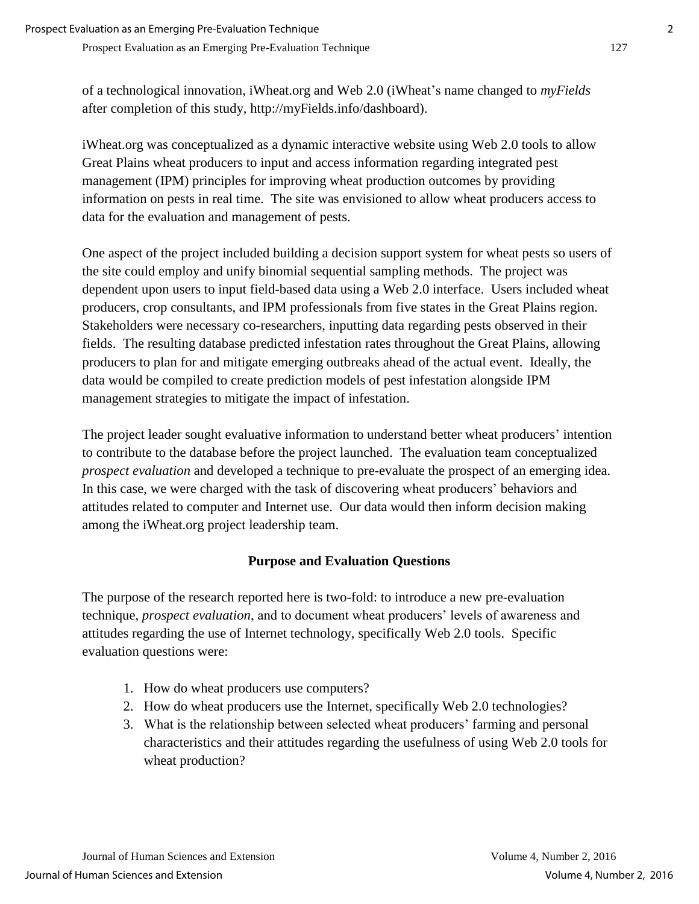of a technological innovation, iWheat.org and Web 2.0 (iWheat's name changed to *myFields* after completion of this study, http://myFields.info/dashboard).

iWheat.org was conceptualized as a dynamic interactive website using Web 2.0 tools to allow Great Plains wheat producers to input and access information regarding integrated pest management (IPM) principles for improving wheat production outcomes by providing information on pests in real time. The site was envisioned to allow wheat producers access to data for the evaluation and management of pests.

One aspect of the project included building a decision support system for wheat pests so users of the site could employ and unify binomial sequential sampling methods. The project was dependent upon users to input field-based data using a Web 2.0 interface. Users included wheat producers, crop consultants, and IPM professionals from five states in the Great Plains region. Stakeholders were necessary co-researchers, inputting data regarding pests observed in their fields. The resulting database predicted infestation rates throughout the Great Plains, allowing producers to plan for and mitigate emerging outbreaks ahead of the actual event. Ideally, the data would be compiled to create prediction models of pest infestation alongside IPM management strategies to mitigate the impact of infestation.

The project leader sought evaluative information to understand better wheat producers' intention to contribute to the database before the project launched. The evaluation team conceptualized *prospect evaluation* and developed a technique to pre-evaluate the prospect of an emerging idea. In this case, we were charged with the task of discovering wheat producers' behaviors and attitudes related to computer and Internet use. Our data would then inform decision making among the iWheat.org project leadership team.

## **Purpose and Evaluation Questions**

The purpose of the research reported here is two-fold: to introduce a new pre-evaluation technique, *prospect evaluation*, and to document wheat producers' levels of awareness and attitudes regarding the use of Internet technology, specifically Web 2.0 tools. Specific evaluation questions were:

- 1. How do wheat producers use computers?
- 2. How do wheat producers use the Internet, specifically Web 2.0 technologies?
- 3. What is the relationship between selected wheat producers' farming and personal characteristics and their attitudes regarding the usefulness of using Web 2.0 tools for wheat production?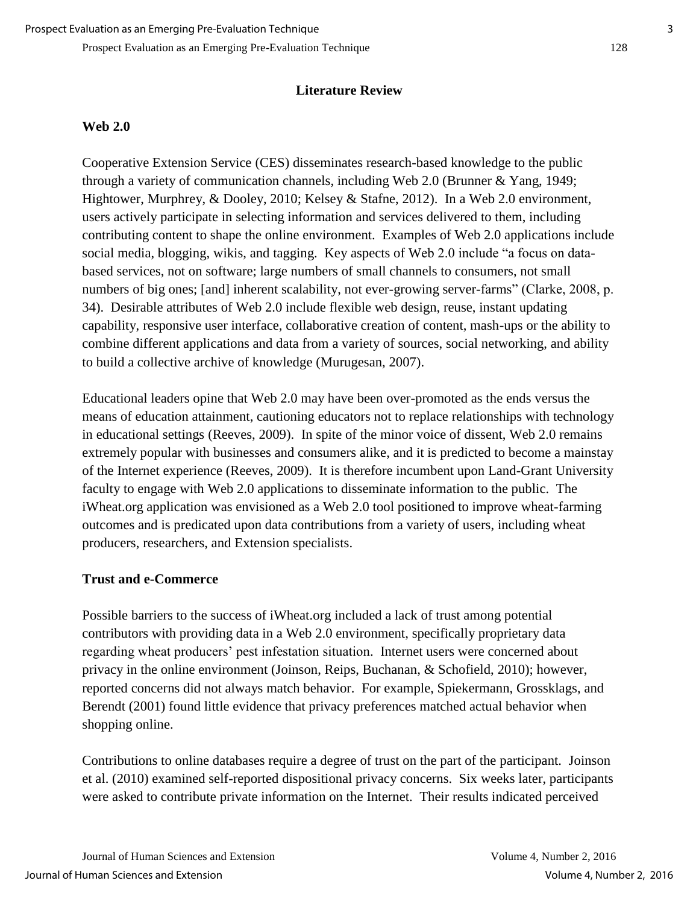### **Literature Review**

#### **Web 2.0**

Cooperative Extension Service (CES) disseminates research-based knowledge to the public through a variety of communication channels, including Web 2.0 (Brunner & Yang, 1949; Hightower, Murphrey, & Dooley, 2010; Kelsey & Stafne, 2012). In a Web 2.0 environment, users actively participate in selecting information and services delivered to them, including contributing content to shape the online environment. Examples of Web 2.0 applications include social media, blogging, wikis, and tagging. Key aspects of Web 2.0 include "a focus on databased services, not on software; large numbers of small channels to consumers, not small numbers of big ones; [and] inherent scalability, not ever-growing server-farms" (Clarke, 2008, p. 34). Desirable attributes of Web 2.0 include flexible web design, reuse, instant updating capability, responsive user interface, collaborative creation of content, mash-ups or the ability to combine different applications and data from a variety of sources, social networking, and ability to build a collective archive of knowledge (Murugesan, 2007).

Educational leaders opine that Web 2.0 may have been over-promoted as the ends versus the means of education attainment, cautioning educators not to replace relationships with technology in educational settings (Reeves, 2009). In spite of the minor voice of dissent, Web 2.0 remains extremely popular with businesses and consumers alike, and it is predicted to become a mainstay of the Internet experience (Reeves, 2009). It is therefore incumbent upon Land-Grant University faculty to engage with Web 2.0 applications to disseminate information to the public. The iWheat.org application was envisioned as a Web 2.0 tool positioned to improve wheat-farming outcomes and is predicated upon data contributions from a variety of users, including wheat producers, researchers, and Extension specialists.

#### **Trust and e-Commerce**

Possible barriers to the success of iWheat.org included a lack of trust among potential contributors with providing data in a Web 2.0 environment, specifically proprietary data regarding wheat producers' pest infestation situation. Internet users were concerned about privacy in the online environment (Joinson, Reips, Buchanan, & Schofield, 2010); however, reported concerns did not always match behavior. For example, Spiekermann, Grossklags, and Berendt (2001) found little evidence that privacy preferences matched actual behavior when shopping online.

Contributions to online databases require a degree of trust on the part of the participant. Joinson et al. (2010) examined self-reported dispositional privacy concerns. Six weeks later, participants were asked to contribute private information on the Internet. Their results indicated perceived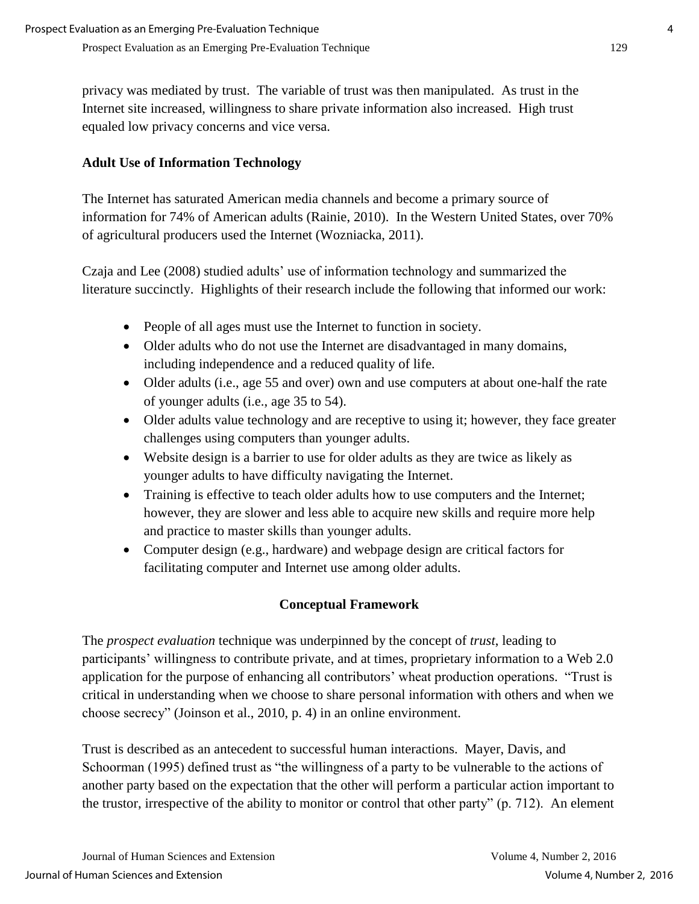privacy was mediated by trust. The variable of trust was then manipulated. As trust in the Internet site increased, willingness to share private information also increased. High trust equaled low privacy concerns and vice versa.

## **Adult Use of Information Technology**

The Internet has saturated American media channels and become a primary source of information for 74% of American adults (Rainie, 2010). In the Western United States, over 70% of agricultural producers used the Internet (Wozniacka, 2011).

Czaja and Lee (2008) studied adults' use of information technology and summarized the literature succinctly. Highlights of their research include the following that informed our work:

- People of all ages must use the Internet to function in society.
- Older adults who do not use the Internet are disadvantaged in many domains, including independence and a reduced quality of life.
- Older adults (i.e., age 55 and over) own and use computers at about one-half the rate of younger adults (i.e., age 35 to 54).
- Older adults value technology and are receptive to using it; however, they face greater challenges using computers than younger adults.
- Website design is a barrier to use for older adults as they are twice as likely as younger adults to have difficulty navigating the Internet.
- Training is effective to teach older adults how to use computers and the Internet; however, they are slower and less able to acquire new skills and require more help and practice to master skills than younger adults.
- Computer design (e.g., hardware) and webpage design are critical factors for facilitating computer and Internet use among older adults.

## **Conceptual Framework**

The *prospect evaluation* technique was underpinned by the concept of *trust*, leading to participants' willingness to contribute private, and at times, proprietary information to a Web 2.0 application for the purpose of enhancing all contributors' wheat production operations. "Trust is critical in understanding when we choose to share personal information with others and when we choose secrecy" (Joinson et al., 2010, p. 4) in an online environment.

Trust is described as an antecedent to successful human interactions. Mayer, Davis, and Schoorman (1995) defined trust as "the willingness of a party to be vulnerable to the actions of another party based on the expectation that the other will perform a particular action important to the trustor, irrespective of the ability to monitor or control that other party" (p. 712). An element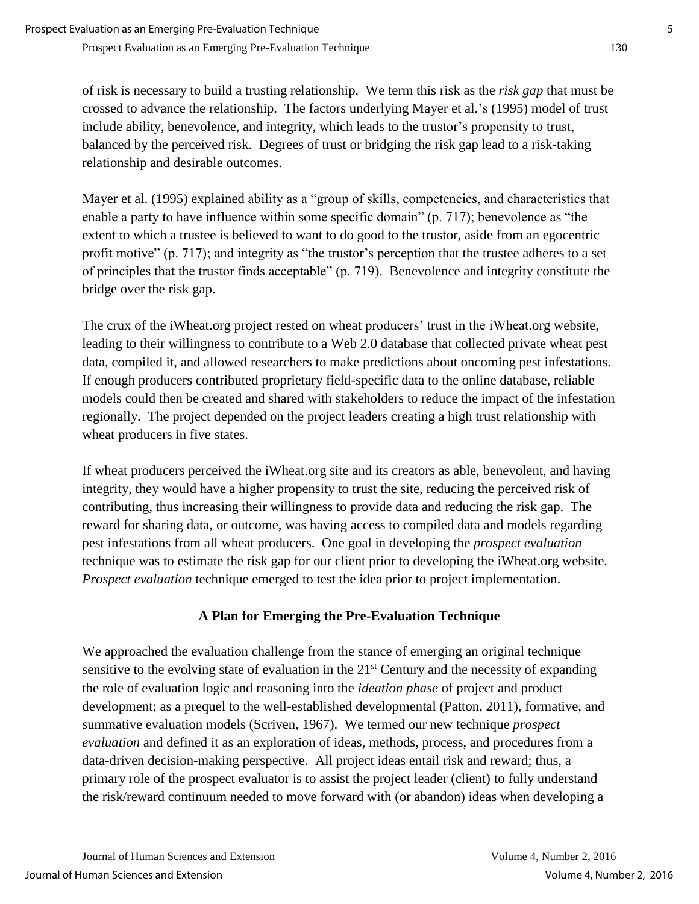of risk is necessary to build a trusting relationship. We term this risk as the *risk gap* that must be crossed to advance the relationship. The factors underlying Mayer et al.'s (1995) model of trust include ability, benevolence, and integrity, which leads to the trustor's propensity to trust, balanced by the perceived risk. Degrees of trust or bridging the risk gap lead to a risk-taking relationship and desirable outcomes.

Mayer et al. (1995) explained ability as a "group of skills, competencies, and characteristics that enable a party to have influence within some specific domain" (p. 717); benevolence as "the extent to which a trustee is believed to want to do good to the trustor, aside from an egocentric profit motive" (p. 717); and integrity as "the trustor's perception that the trustee adheres to a set of principles that the trustor finds acceptable" (p. 719). Benevolence and integrity constitute the bridge over the risk gap.

The crux of the iWheat.org project rested on wheat producers' trust in the iWheat.org website, leading to their willingness to contribute to a Web 2.0 database that collected private wheat pest data, compiled it, and allowed researchers to make predictions about oncoming pest infestations. If enough producers contributed proprietary field-specific data to the online database, reliable models could then be created and shared with stakeholders to reduce the impact of the infestation regionally. The project depended on the project leaders creating a high trust relationship with wheat producers in five states.

If wheat producers perceived the iWheat.org site and its creators as able, benevolent, and having integrity, they would have a higher propensity to trust the site, reducing the perceived risk of contributing, thus increasing their willingness to provide data and reducing the risk gap. The reward for sharing data, or outcome, was having access to compiled data and models regarding pest infestations from all wheat producers. One goal in developing the *prospect evaluation* technique was to estimate the risk gap for our client prior to developing the iWheat.org website. *Prospect evaluation* technique emerged to test the idea prior to project implementation.

## **A Plan for Emerging the Pre-Evaluation Technique**

We approached the evaluation challenge from the stance of emerging an original technique sensitive to the evolving state of evaluation in the  $21<sup>st</sup>$  Century and the necessity of expanding the role of evaluation logic and reasoning into the *ideation phase* of project and product development; as a prequel to the well-established developmental (Patton, 2011), formative, and summative evaluation models (Scriven, 1967). We termed our new technique *prospect evaluation* and defined it as an exploration of ideas, methods, process, and procedures from a data-driven decision-making perspective. All project ideas entail risk and reward; thus, a primary role of the prospect evaluator is to assist the project leader (client) to fully understand the risk/reward continuum needed to move forward with (or abandon) ideas when developing a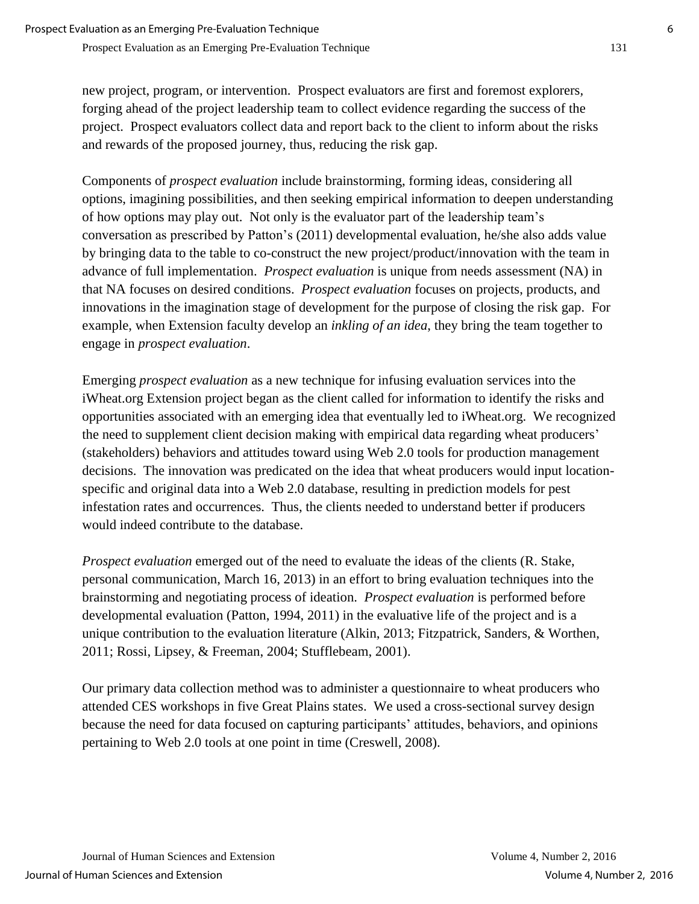new project, program, or intervention. Prospect evaluators are first and foremost explorers*,* forging ahead of the project leadership team to collect evidence regarding the success of the project. Prospect evaluators collect data and report back to the client to inform about the risks and rewards of the proposed journey, thus, reducing the risk gap.

Components of *prospect evaluation* include brainstorming, forming ideas, considering all options, imagining possibilities, and then seeking empirical information to deepen understanding of how options may play out. Not only is the evaluator part of the leadership team's conversation as prescribed by Patton's (2011) developmental evaluation, he/she also adds value by bringing data to the table to co-construct the new project/product/innovation with the team in advance of full implementation. *Prospect evaluation* is unique from needs assessment (NA) in that NA focuses on desired conditions. *Prospect evaluation* focuses on projects, products, and innovations in the imagination stage of development for the purpose of closing the risk gap. For example, when Extension faculty develop an *inkling of an idea*, they bring the team together to engage in *prospect evaluation*.

Emerging *prospect evaluation* as a new technique for infusing evaluation services into the iWheat.org Extension project began as the client called for information to identify the risks and opportunities associated with an emerging idea that eventually led to iWheat.org. We recognized the need to supplement client decision making with empirical data regarding wheat producers' (stakeholders) behaviors and attitudes toward using Web 2.0 tools for production management decisions. The innovation was predicated on the idea that wheat producers would input locationspecific and original data into a Web 2.0 database, resulting in prediction models for pest infestation rates and occurrences. Thus, the clients needed to understand better if producers would indeed contribute to the database.

*Prospect evaluation* emerged out of the need to evaluate the ideas of the clients (R. Stake, personal communication, March 16, 2013) in an effort to bring evaluation techniques into the brainstorming and negotiating process of ideation. *Prospect evaluation* is performed before developmental evaluation (Patton, 1994, 2011) in the evaluative life of the project and is a unique contribution to the evaluation literature (Alkin, 2013; Fitzpatrick, Sanders, & Worthen, 2011; Rossi, Lipsey, & Freeman, 2004; Stufflebeam, 2001).

Our primary data collection method was to administer a questionnaire to wheat producers who attended CES workshops in five Great Plains states. We used a cross-sectional survey design because the need for data focused on capturing participants' attitudes, behaviors, and opinions pertaining to Web 2.0 tools at one point in time (Creswell, 2008).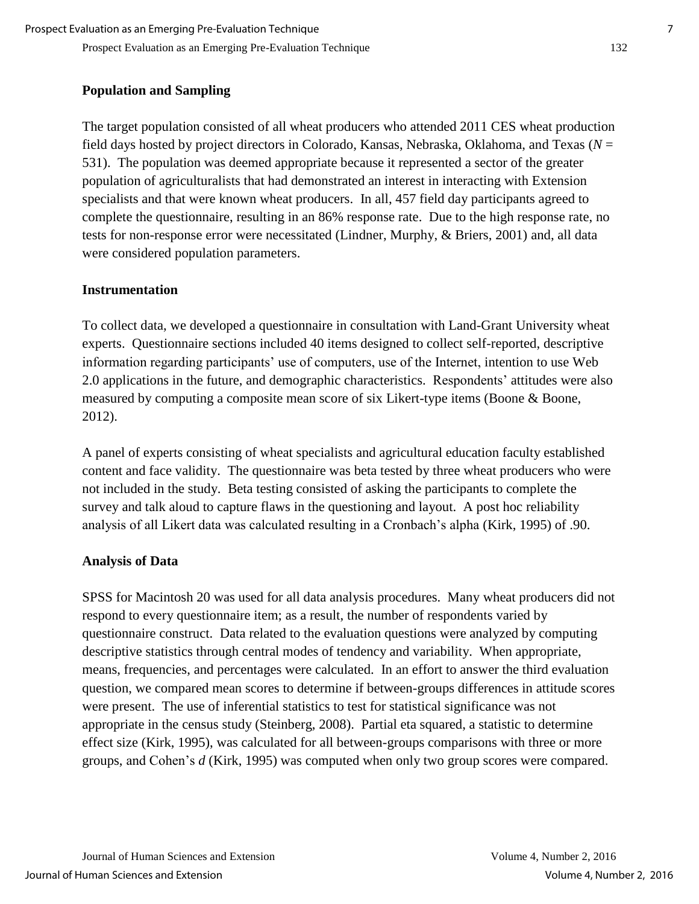## **Population and Sampling**

The target population consisted of all wheat producers who attended 2011 CES wheat production field days hosted by project directors in Colorado, Kansas, Nebraska, Oklahoma, and Texas (*N* = 531). The population was deemed appropriate because it represented a sector of the greater population of agriculturalists that had demonstrated an interest in interacting with Extension specialists and that were known wheat producers. In all, 457 field day participants agreed to complete the questionnaire, resulting in an 86% response rate. Due to the high response rate, no tests for non-response error were necessitated (Lindner, Murphy, & Briers, 2001) and, all data were considered population parameters.

### **Instrumentation**

To collect data, we developed a questionnaire in consultation with Land-Grant University wheat experts. Questionnaire sections included 40 items designed to collect self-reported, descriptive information regarding participants' use of computers, use of the Internet, intention to use Web 2.0 applications in the future, and demographic characteristics. Respondents' attitudes were also measured by computing a composite mean score of six Likert-type items (Boone & Boone, 2012).

A panel of experts consisting of wheat specialists and agricultural education faculty established content and face validity. The questionnaire was beta tested by three wheat producers who were not included in the study. Beta testing consisted of asking the participants to complete the survey and talk aloud to capture flaws in the questioning and layout. A post hoc reliability analysis of all Likert data was calculated resulting in a Cronbach's alpha (Kirk, 1995) of .90.

## **Analysis of Data**

SPSS for Macintosh 20 was used for all data analysis procedures. Many wheat producers did not respond to every questionnaire item; as a result, the number of respondents varied by questionnaire construct. Data related to the evaluation questions were analyzed by computing descriptive statistics through central modes of tendency and variability. When appropriate, means, frequencies, and percentages were calculated. In an effort to answer the third evaluation question, we compared mean scores to determine if between-groups differences in attitude scores were present. The use of inferential statistics to test for statistical significance was not appropriate in the census study (Steinberg, 2008). Partial eta squared, a statistic to determine effect size (Kirk, 1995), was calculated for all between-groups comparisons with three or more groups, and Cohen's *d* (Kirk, 1995) was computed when only two group scores were compared.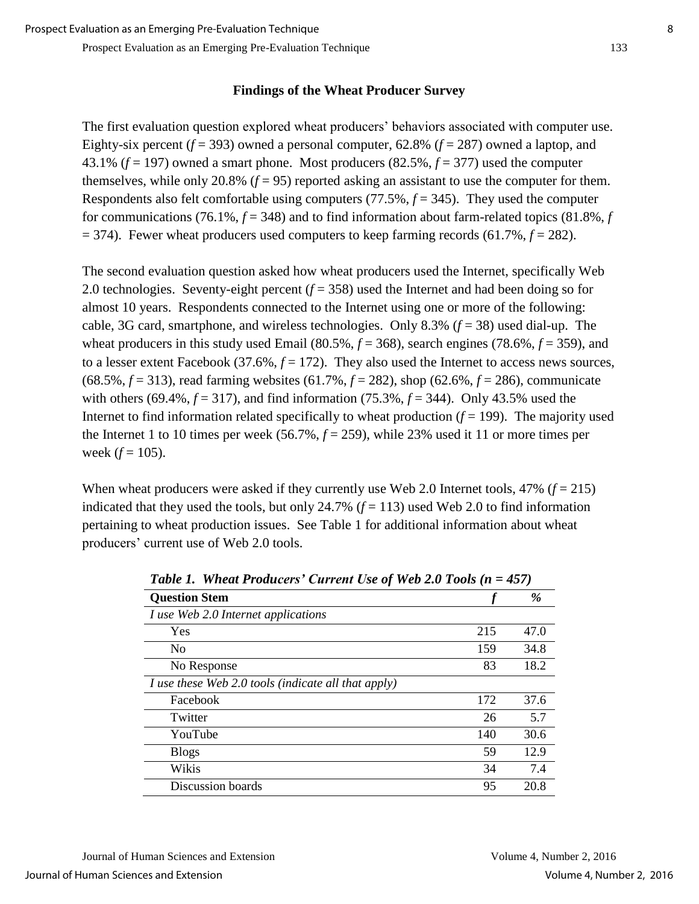#### **Findings of the Wheat Producer Survey**

The first evaluation question explored wheat producers' behaviors associated with computer use. Eighty-six percent  $(f = 393)$  owned a personal computer, 62.8%  $(f = 287)$  owned a laptop, and 43.1% (*f* = 197) owned a smart phone. Most producers (82.5%, *f* = 377) used the computer themselves, while only 20.8%  $(f = 95)$  reported asking an assistant to use the computer for them. Respondents also felt comfortable using computers (77.5%, *f* = 345). They used the computer for communications (76.1%,  $f = 348$ ) and to find information about farm-related topics (81.8%,  $f$ )  $= 374$ ). Fewer wheat producers used computers to keep farming records (61.7%,  $f = 282$ ).

The second evaluation question asked how wheat producers used the Internet, specifically Web 2.0 technologies. Seventy-eight percent  $(f = 358)$  used the Internet and had been doing so for almost 10 years. Respondents connected to the Internet using one or more of the following: cable, 3G card, smartphone, and wireless technologies. Only 8.3% (*f* = 38) used dial-up. The wheat producers in this study used Email (80.5%,  $f = 368$ ), search engines (78.6%,  $f = 359$ ), and to a lesser extent Facebook  $(37.6\%, f = 172)$ . They also used the Internet to access news sources,  $(68.5\%, f = 313)$ , read farming websites  $(61.7\%, f = 282)$ , shop  $(62.6\%, f = 286)$ , communicate with others (69.4%,  $f = 317$ ), and find information (75.3%,  $f = 344$ ). Only 43.5% used the Internet to find information related specifically to wheat production  $(f = 199)$ . The majority used the Internet 1 to 10 times per week (56.7%,  $f = 259$ ), while 23% used it 11 or more times per week  $(f = 105)$ .

When wheat producers were asked if they currently use Web 2.0 Internet tools, 47% ( $f = 215$ ) indicated that they used the tools, but only 24.7%  $(f = 113)$  used Web 2.0 to find information pertaining to wheat production issues. See Table 1 for additional information about wheat producers' current use of Web 2.0 tools.

| <b>Question Stem</b>                                |     | %    |
|-----------------------------------------------------|-----|------|
| I use Web 2.0 Internet applications                 |     |      |
| Yes                                                 | 215 | 47.0 |
| N <sub>0</sub>                                      | 159 | 34.8 |
| No Response                                         | 83  | 18.2 |
| I use these Web 2.0 tools (indicate all that apply) |     |      |
| Facebook                                            | 172 | 37.6 |
| Twitter                                             | 26  | 5.7  |
| YouTube                                             | 140 | 30.6 |
| <b>Blogs</b>                                        | 59  | 12.9 |
| Wikis                                               | 34  | 7.4  |
| Discussion boards                                   | 95  | 20.8 |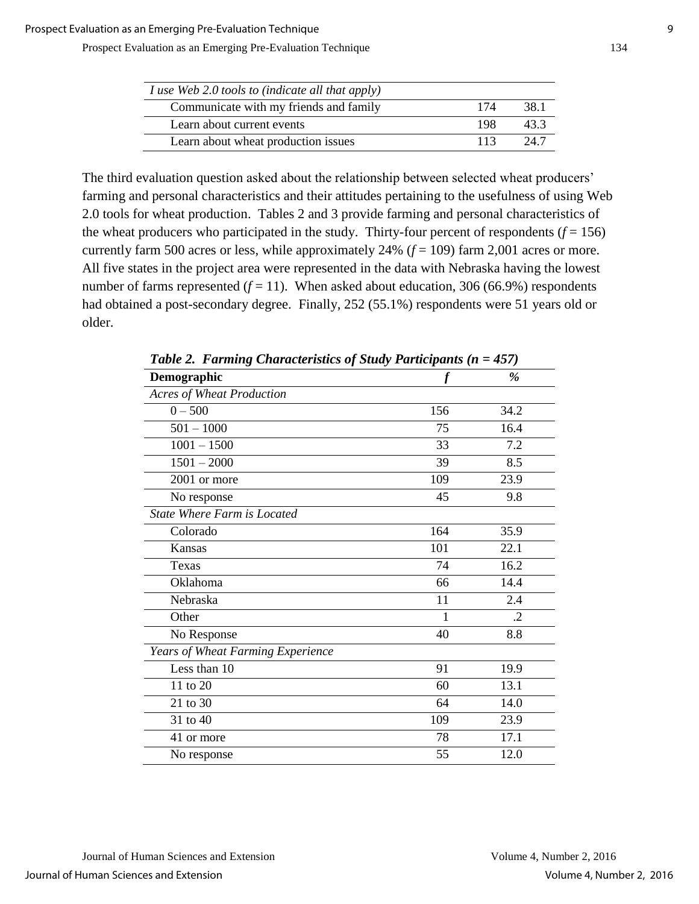| I use Web 2.0 tools to (indicate all that apply) |     |      |
|--------------------------------------------------|-----|------|
| Communicate with my friends and family           | 174 | 38.1 |
| Learn about current events                       | 198 | 433  |
| Learn about wheat production issues              | 113 | 24 Z |

The third evaluation question asked about the relationship between selected wheat producers' farming and personal characteristics and their attitudes pertaining to the usefulness of using Web 2.0 tools for wheat production. Tables 2 and 3 provide farming and personal characteristics of the wheat producers who participated in the study. Thirty-four percent of respondents  $(f = 156)$ currently farm 500 acres or less, while approximately 24% (*f* = 109) farm 2,001 acres or more. All five states in the project area were represented in the data with Nebraska having the lowest number of farms represented  $(f = 11)$ . When asked about education, 306 (66.9%) respondents had obtained a post-secondary degree. Finally, 252 (55.1%) respondents were 51 years old or older.

| Demographic                        |     | %          |
|------------------------------------|-----|------------|
| <b>Acres of Wheat Production</b>   |     |            |
| $0 - 500$                          | 156 | 34.2       |
| $501 - 1000$                       | 75  | 16.4       |
| $1001 - 1500$                      | 33  | 7.2        |
| $1501 - 2000$                      | 39  | 8.5        |
| 2001 or more                       | 109 | 23.9       |
| No response                        | 45  | 9.8        |
| <b>State Where Farm is Located</b> |     |            |
| Colorado                           | 164 | 35.9       |
| Kansas                             | 101 | 22.1       |
| Texas                              | 74  | 16.2       |
| Oklahoma                           | 66  | 14.4       |
| Nebraska                           | 11  | 2.4        |
| Other                              |     | $\cdot$ .2 |
| No Response                        | 40  | 8.8        |
| Years of Wheat Farming Experience  |     |            |
| Less than 10                       | 91  | 19.9       |
| 11 to 20                           | 60  | 13.1       |
| 21 to 30                           | 64  | 14.0       |
| 31 to 40                           | 109 | 23.9       |
| 41 or more                         | 78  | 17.1       |
| No response                        | 55  | 12.0       |

*Table 2. Farming Characteristics of Study Participants (n = 457)*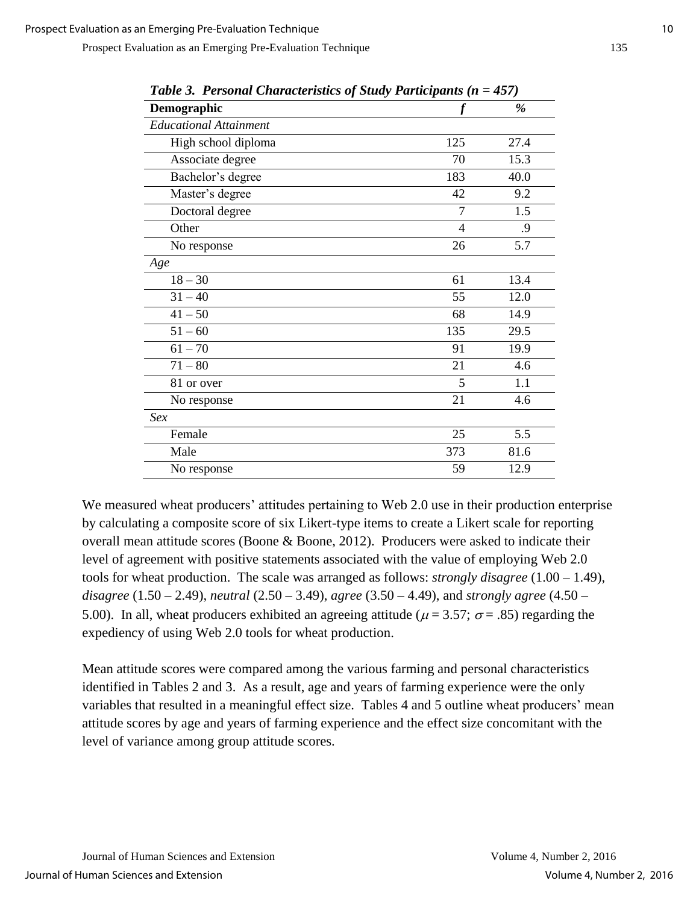| Tuble 5. Tersonal Characteristics of Staty Farticipants (n = <del>1</del> 57) |                |      |  |
|-------------------------------------------------------------------------------|----------------|------|--|
| Demographic                                                                   |                | %    |  |
| <b>Educational Attainment</b>                                                 |                |      |  |
| High school diploma                                                           | 125            | 27.4 |  |
| Associate degree                                                              | 70             | 15.3 |  |
| Bachelor's degree                                                             | 183            | 40.0 |  |
| Master's degree                                                               | 42             | 9.2  |  |
| Doctoral degree                                                               | 7              | 1.5  |  |
| Other                                                                         | $\overline{4}$ | .9   |  |
| No response                                                                   | 26             | 5.7  |  |
| Age                                                                           |                |      |  |
| $18 - 30$                                                                     | 61             | 13.4 |  |
| $31 - 40$                                                                     | 55             | 12.0 |  |
| $41 - 50$                                                                     | 68             | 14.9 |  |
| $51 - 60$                                                                     | 135            | 29.5 |  |
| $61 - 70$                                                                     | 91             | 19.9 |  |
| $71 - 80$                                                                     | 21             | 4.6  |  |
| 81 or over                                                                    | 5              | 1.1  |  |
| No response                                                                   | 21             | 4.6  |  |
| Sex                                                                           |                |      |  |
| Female                                                                        | 25             | 5.5  |  |
| Male                                                                          | 373            | 81.6 |  |
| No response                                                                   | 59             | 12.9 |  |

*Table 3. Personal Characteristics of Study Participants (n = 457)*

We measured wheat producers' attitudes pertaining to Web 2.0 use in their production enterprise by calculating a composite score of six Likert-type items to create a Likert scale for reporting overall mean attitude scores (Boone & Boone, 2012). Producers were asked to indicate their level of agreement with positive statements associated with the value of employing Web 2.0 tools for wheat production. The scale was arranged as follows: *strongly disagree* (1.00 – 1.49), *disagree* (1.50 – 2.49), *neutral* (2.50 – 3.49), *agree* (3.50 – 4.49), and *strongly agree* (4.50 – 5.00). In all, wheat producers exhibited an agreeing attitude ( $\mu$  = 3.57;  $\sigma$  = .85) regarding the expediency of using Web 2.0 tools for wheat production.

Mean attitude scores were compared among the various farming and personal characteristics identified in Tables 2 and 3. As a result, age and years of farming experience were the only variables that resulted in a meaningful effect size. Tables 4 and 5 outline wheat producers' mean attitude scores by age and years of farming experience and the effect size concomitant with the level of variance among group attitude scores.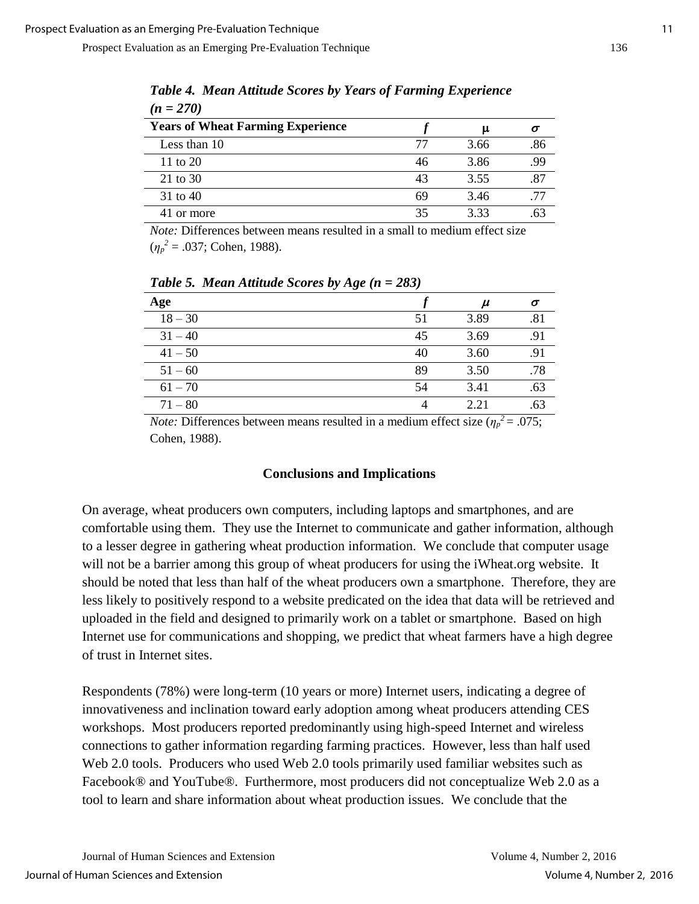| $(11 = 270)$                             |    |      |     |
|------------------------------------------|----|------|-----|
| <b>Years of Wheat Farming Experience</b> |    | μ    |     |
| Less than 10                             | 77 | 3.66 | .86 |
| 11 to 20                                 | 46 | 3.86 | .99 |
| 21 to 30                                 | 43 | 3.55 | .87 |
| 31 to 40                                 | 69 | 3.46 | 77  |
| 41 or more                               | 35 | 3.33 | 63  |

*Table 4. Mean Attitude Scores by Years of Farming Experience*  $(x - 270)$ 

*Note:* Differences between means resulted in a small to medium effect size  $(\eta_p^2 = .037; \text{Cohen}, 1988).$ 

| Age       |    | $\boldsymbol{\mu}$ |     |
|-----------|----|--------------------|-----|
| $18 - 30$ | 51 | 3.89               | .81 |
| $31 - 40$ | 45 | 3.69               | .91 |
| $41 - 50$ | 40 | 3.60               | .91 |
| $51 - 60$ | 89 | 3.50               | .78 |
| $61 - 70$ | 54 | 3.41               | .63 |
| $71 - 80$ |    | 2.21               | .63 |

*Table 5. Mean Attitude Scores by Age (n = 283)*

*Note:* Differences between means resulted in a medium effect size ( $\eta_p^2 = .075$ ; Cohen, 1988).

#### **Conclusions and Implications**

On average, wheat producers own computers, including laptops and smartphones, and are comfortable using them. They use the Internet to communicate and gather information, although to a lesser degree in gathering wheat production information. We conclude that computer usage will not be a barrier among this group of wheat producers for using the iWheat.org website. It should be noted that less than half of the wheat producers own a smartphone. Therefore, they are less likely to positively respond to a website predicated on the idea that data will be retrieved and uploaded in the field and designed to primarily work on a tablet or smartphone. Based on high Internet use for communications and shopping, we predict that wheat farmers have a high degree of trust in Internet sites.

Respondents (78%) were long-term (10 years or more) Internet users, indicating a degree of innovativeness and inclination toward early adoption among wheat producers attending CES workshops. Most producers reported predominantly using high-speed Internet and wireless connections to gather information regarding farming practices. However, less than half used Web 2.0 tools. Producers who used Web 2.0 tools primarily used familiar websites such as Facebook® and YouTube®. Furthermore, most producers did not conceptualize Web 2.0 as a tool to learn and share information about wheat production issues. We conclude that the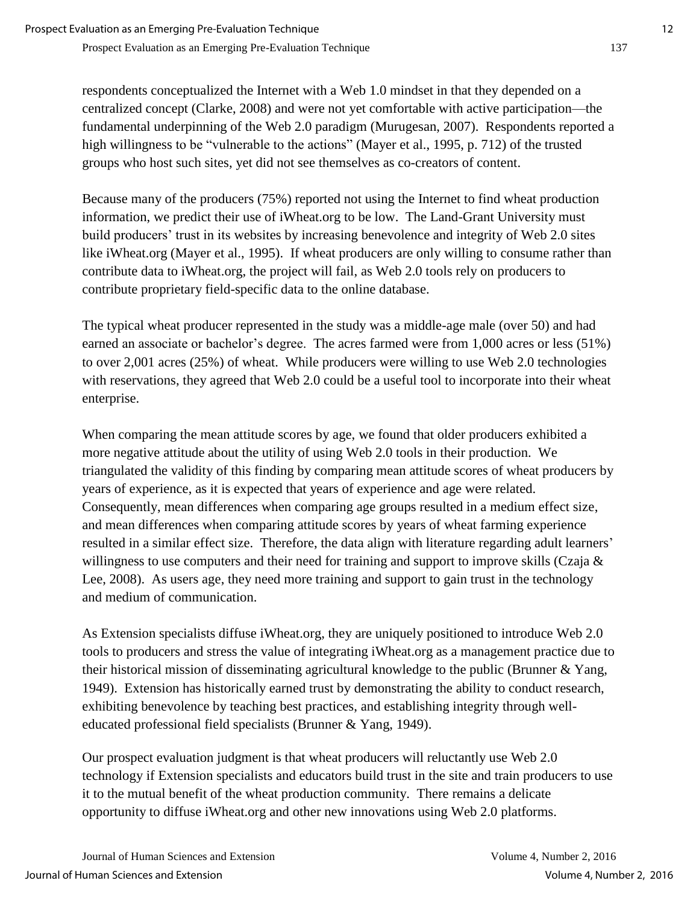respondents conceptualized the Internet with a Web 1.0 mindset in that they depended on a centralized concept (Clarke, 2008) and were not yet comfortable with active participation—the fundamental underpinning of the Web 2.0 paradigm (Murugesan, 2007). Respondents reported a high willingness to be "vulnerable to the actions" (Mayer et al., 1995, p. 712) of the trusted groups who host such sites, yet did not see themselves as co-creators of content.

Because many of the producers (75%) reported not using the Internet to find wheat production information, we predict their use of iWheat.org to be low. The Land-Grant University must build producers' trust in its websites by increasing benevolence and integrity of Web 2.0 sites like iWheat.org (Mayer et al., 1995). If wheat producers are only willing to consume rather than contribute data to iWheat.org, the project will fail, as Web 2.0 tools rely on producers to contribute proprietary field-specific data to the online database.

The typical wheat producer represented in the study was a middle-age male (over 50) and had earned an associate or bachelor's degree. The acres farmed were from 1,000 acres or less (51%) to over 2,001 acres (25%) of wheat. While producers were willing to use Web 2.0 technologies with reservations, they agreed that Web 2.0 could be a useful tool to incorporate into their wheat enterprise.

When comparing the mean attitude scores by age, we found that older producers exhibited a more negative attitude about the utility of using Web 2.0 tools in their production. We triangulated the validity of this finding by comparing mean attitude scores of wheat producers by years of experience, as it is expected that years of experience and age were related. Consequently, mean differences when comparing age groups resulted in a medium effect size, and mean differences when comparing attitude scores by years of wheat farming experience resulted in a similar effect size. Therefore, the data align with literature regarding adult learners' willingness to use computers and their need for training and support to improve skills (Czaja  $\&$ Lee, 2008). As users age, they need more training and support to gain trust in the technology and medium of communication.

As Extension specialists diffuse iWheat.org, they are uniquely positioned to introduce Web 2.0 tools to producers and stress the value of integrating iWheat.org as a management practice due to their historical mission of disseminating agricultural knowledge to the public (Brunner & Yang, 1949). Extension has historically earned trust by demonstrating the ability to conduct research, exhibiting benevolence by teaching best practices, and establishing integrity through welleducated professional field specialists (Brunner & Yang, 1949).

Our prospect evaluation judgment is that wheat producers will reluctantly use Web 2.0 technology if Extension specialists and educators build trust in the site and train producers to use it to the mutual benefit of the wheat production community. There remains a delicate opportunity to diffuse iWheat.org and other new innovations using Web 2.0 platforms.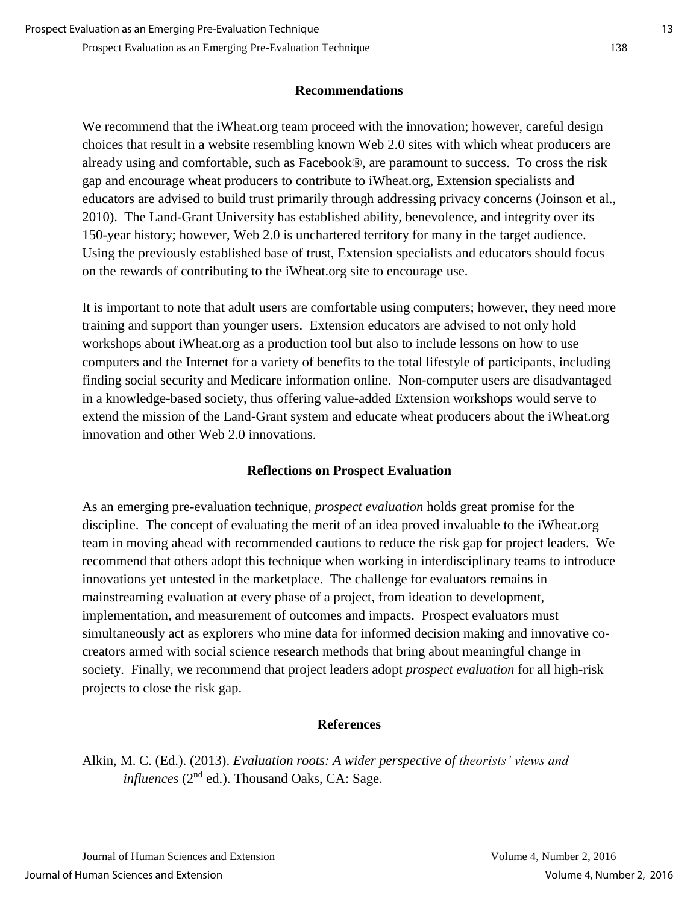### **Recommendations**

We recommend that the iWheat.org team proceed with the innovation; however, careful design choices that result in a website resembling known Web 2.0 sites with which wheat producers are already using and comfortable, such as Facebook®, are paramount to success. To cross the risk gap and encourage wheat producers to contribute to iWheat.org, Extension specialists and educators are advised to build trust primarily through addressing privacy concerns (Joinson et al., 2010). The Land-Grant University has established ability, benevolence, and integrity over its 150-year history; however, Web 2.0 is unchartered territory for many in the target audience. Using the previously established base of trust, Extension specialists and educators should focus on the rewards of contributing to the iWheat.org site to encourage use.

It is important to note that adult users are comfortable using computers; however, they need more training and support than younger users. Extension educators are advised to not only hold workshops about iWheat.org as a production tool but also to include lessons on how to use computers and the Internet for a variety of benefits to the total lifestyle of participants, including finding social security and Medicare information online. Non-computer users are disadvantaged in a knowledge-based society, thus offering value-added Extension workshops would serve to extend the mission of the Land-Grant system and educate wheat producers about the iWheat.org innovation and other Web 2.0 innovations.

## **Reflections on Prospect Evaluation**

As an emerging pre-evaluation technique, *prospect evaluation* holds great promise for the discipline. The concept of evaluating the merit of an idea proved invaluable to the iWheat.org team in moving ahead with recommended cautions to reduce the risk gap for project leaders. We recommend that others adopt this technique when working in interdisciplinary teams to introduce innovations yet untested in the marketplace. The challenge for evaluators remains in mainstreaming evaluation at every phase of a project, from ideation to development, implementation, and measurement of outcomes and impacts. Prospect evaluators must simultaneously act as explorers who mine data for informed decision making and innovative cocreators armed with social science research methods that bring about meaningful change in society. Finally, we recommend that project leaders adopt *prospect evaluation* for all high-risk projects to close the risk gap.

## **References**

Alkin, M. C. (Ed.). (2013). *Evaluation roots: A wider perspective of theorists' views and influences* (2<sup>nd</sup> ed.). Thousand Oaks, CA: Sage.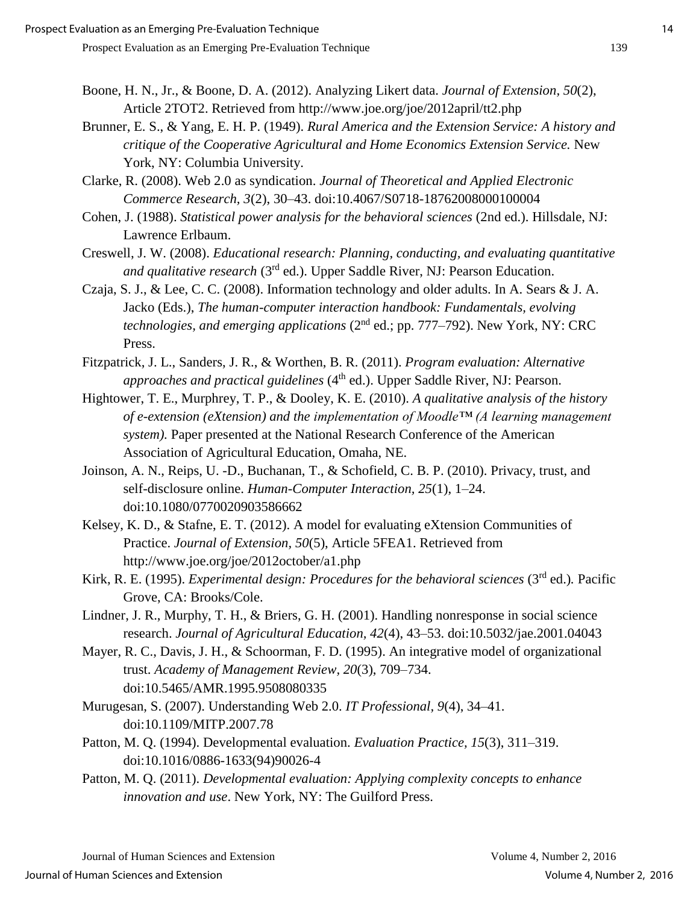- Boone, H. N., Jr., & Boone, D. A. (2012). Analyzing Likert data. *Journal of Extension, 50*(2), Article 2TOT2. Retrieved from http://www.joe.org/joe/2012april/tt2.php
- Brunner, E. S., & Yang, E. H. P. (1949). *Rural America and the Extension Service: A history and critique of the Cooperative Agricultural and Home Economics Extension Service.* New York, NY: Columbia University.
- Clarke, R. (2008). Web 2.0 as syndication. *Journal of Theoretical and Applied Electronic Commerce Research, 3*(2), 30–43. doi:10.4067/S0718-18762008000100004
- Cohen, J. (1988). *Statistical power analysis for the behavioral sciences* (2nd ed.). Hillsdale, NJ: Lawrence Erlbaum.
- Creswell, J. W. (2008). *Educational research: Planning, conducting, and evaluating quantitative and qualitative research* (3rd ed.). Upper Saddle River, NJ: Pearson Education.
- Czaja, S. J., & Lee, C. C. (2008). Information technology and older adults. In A. Sears & J. A. Jacko (Eds.), *The human-computer interaction handbook: Fundamentals, evolving technologies, and emerging applications* (2nd ed.; pp. 777–792). New York, NY: CRC Press.
- Fitzpatrick, J. L., Sanders, J. R., & Worthen, B. R. (2011). *Program evaluation: Alternative approaches and practical guidelines* (4<sup>th</sup> ed.). Upper Saddle River, NJ: Pearson.
- Hightower, T. E., Murphrey, T. P., & Dooley, K. E. (2010). *A qualitative analysis of the history of e-extension (eXtension) and the implementation of Moodle™ (A learning management system).* Paper presented at the National Research Conference of the American Association of Agricultural Education, Omaha, NE.
- Joinson, A. N., Reips, U. -D., Buchanan, T., & Schofield, C. B. P. (2010). Privacy, trust, and self-disclosure online. *Human-Computer Interaction, 25*(1), 1–24. doi:10.1080/0770020903586662
- Kelsey, K. D., & Stafne, E. T. (2012). A model for evaluating eXtension Communities of Practice. *Journal of Extension, 50*(5), Article 5FEA1. Retrieved from http://www.joe.org/joe/2012october/a1.php
- Kirk, R. E. (1995). *Experimental design: Procedures for the behavioral sciences* (3<sup>rd</sup> ed.). Pacific Grove, CA: Brooks/Cole.
- Lindner, J. R., Murphy, T. H., & Briers, G. H. (2001). Handling nonresponse in social science research. *Journal of Agricultural Education, 42*(4), 43–53. doi:10.5032/jae.2001.04043
- Mayer, R. C., Davis, J. H., & Schoorman, F. D. (1995). An integrative model of organizational trust. *Academy of Management Review, 20*(3), 709–734. doi:10.5465/AMR.1995.9508080335
- Murugesan, S. (2007). Understanding Web 2.0. *IT Professional, 9*(4), 34–41. doi:10.1109/MITP.2007.78
- Patton, M. Q. (1994). Developmental evaluation. *Evaluation Practice, 15*(3), 311–319. doi:10.1016/0886-1633(94)90026-4
- Patton, M. Q. (2011). *Developmental evaluation: Applying complexity concepts to enhance innovation and use*. New York, NY: The Guilford Press.